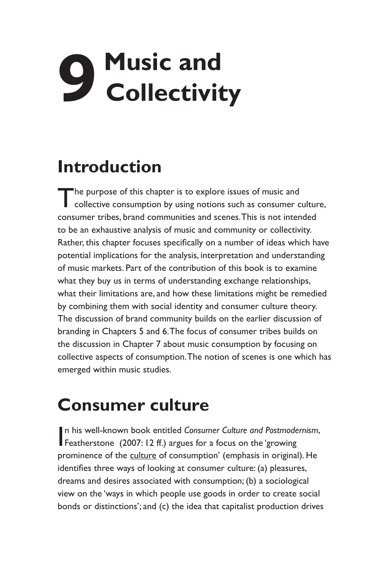## **9 Music and Collectivity**

## **Introduction**

The purpose of this chapter is to explore issues of music and collective consumption by using notions such as consumer culture, consumer tribes, brand communities and scenes. This is not intended to be an exhaustive analysis of music and community or collectivity. Rather, this chapter focuses specifically on a number of ideas which have potential implications for the analysis, interpretation and understanding of music markets. Part of the contribution of this book is to examine what they buy us in terms of understanding exchange relationships, what their limitations are, and how these limitations might be remedied by combining them with social identity and consumer culture theory. The discussion of brand community builds on the earlier discussion of branding in Chapters 5 and 6. The focus of consumer tribes builds on the discussion in Chapter 7 about music consumption by focusing on collective aspects of consumption. The notion of scenes is one which has emerged within music studies.

## **Consumer culture**

In his well-known book entitled Consumer Culture and Postmode<br>Featherstone (2007: 12 ff.) argues for a focus on the 'growing n his well-known book entitled *Consumer Culture and Postmodernism*, prominence of the culture of consumption' (emphasis in original). He identifies three ways of looking at consumer culture: (a) pleasures, dreams and desires associated with consumption; (b) a sociological view on the 'ways in which people use goods in order to create social bonds or distinctions'; and (c) the idea that capitalist production drives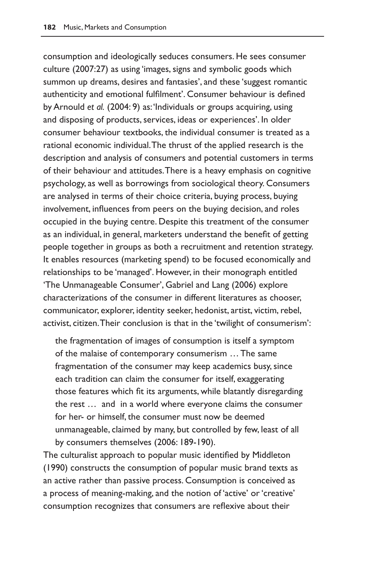consumption and ideologically seduces consumers. He sees consumer culture (2007:27) as using 'images, signs and symbolic goods which summon up dreams, desires and fantasies', and these 'suggest romantic authenticity and emotional fulfilment'. Consumer behaviour is defined by Arnould *et al.* (2004: 9) as: 'Individuals or groups acquiring, using and disposing of products, services, ideas or experiences'. In older consumer behaviour textbooks, the individual consumer is treated as a rational economic individual. The thrust of the applied research is the description and analysis of consumers and potential customers in terms of their behaviour and attitudes. There is a heavy emphasis on cognitive psychology, as well as borrowings from sociological theory. Consumers are analysed in terms of their choice criteria, buying process, buying involvement, influences from peers on the buying decision, and roles occupied in the buying centre. Despite this treatment of the consumer as an individual, in general, marketers understand the benefit of getting people together in groups as both a recruitment and retention strategy. It enables resources (marketing spend) to be focused economically and relationships to be 'managed'. However, in their monograph entitled 'The Unmanageable Consumer', Gabriel and Lang (2006) explore characterizations of the consumer in different literatures as chooser, communicator, explorer, identity seeker, hedonist, artist, victim, rebel, activist, citizen. Their conclusion is that in the 'twilight of consumerism':

the fragmentation of images of consumption is itself a symptom of the malaise of contemporary consumerism … The same fragmentation of the consumer may keep academics busy, since each tradition can claim the consumer for itself, exaggerating those features which fit its arguments, while blatantly disregarding the rest … and in a world where everyone claims the consumer for her- or himself, the consumer must now be deemed unmanageable, claimed by many, but controlled by few, least of all by consumers themselves (2006: 189-190).

The culturalist approach to popular music identified by Middleton (1990) constructs the consumption of popular music brand texts as an active rather than passive process. Consumption is conceived as a process of meaning-making, and the notion of 'active' or 'creative' consumption recognizes that consumers are reflexive about their